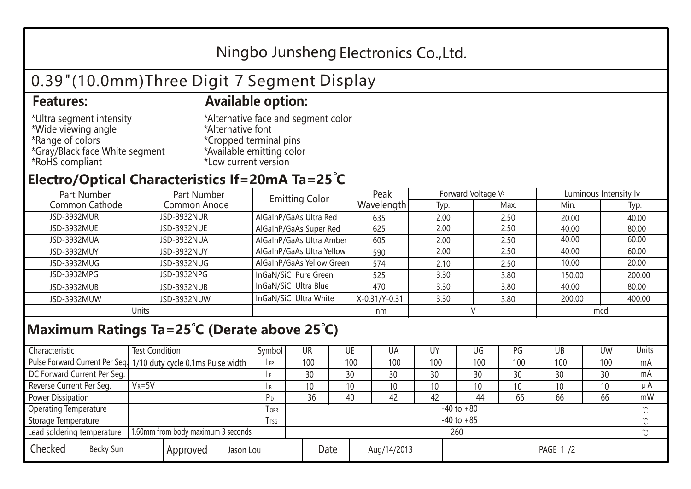## Ningbo Junsheng Electronics Co.,Ltd.

# 0.39"(10.0mm)Three Digit 7 Segment Display

### **Features: Available option:**

- \*Ultra segment intensity \*Wide viewing angle \*Range of colors \*Gray/Black face White segment \*RoHS compliant
- \*Alternative face and segment color \*Alternative font \*Cropped terminal pins \*Available emitting color \*Low current version

### **Electro/Optical Characteristics If=20mA Ta=25 C**

| Part Number<br>Part Number |              | <b>Emitting Color</b>     | Peak          | Forward Voltage VF |      | Luminous Intensity lv |        |  |
|----------------------------|--------------|---------------------------|---------------|--------------------|------|-----------------------|--------|--|
| Common Cathode             | Common Anode |                           | Wavelength    | Typ.               | Max. | Min.                  | Typ.   |  |
| JSD-3932MUR                | JSD-3932NUR  | AlGaInP/GaAs Ultra Red    | 635           | 2.00               | 2.50 | 20.00                 | 40.00  |  |
| JSD-3932MUE                | JSD-3932NUE  | AlGaInP/GaAs Super Red    | 625           | 2.00               | 2.50 | 40.00                 | 80.00  |  |
| JSD-3932MUA                | JSD-3932NUA  | AlGaInP/GaAs Ultra Amber  | 605           | 2.00               | 2.50 | 40.00                 | 60.00  |  |
| JSD-3932MUY                | JSD-3932NUY  | AlGaInP/GaAs Ultra Yellow | 590           | 2.00               | 2.50 | 40.00                 | 60.00  |  |
| JSD-3932MUG                | JSD-3932NUG  | AlGaInP/GaAs Yellow Green | 574           | 2.10               | 2.50 | 10.00                 | 20.00  |  |
| JSD-3932MPG                | JSD-3932NPG  | InGaN/SiC Pure Green      | 525           | 3.30               | 3.80 | 150.00                | 200.00 |  |
| JSD-3932MUB                | JSD-3932NUB  | InGaN/SiC Ultra Blue      | 470           | 3.30               | 3.80 | 40.00                 | 80.00  |  |
| JSD-3932MUW                | JSD-3932NUW  | InGaN/SiC Ultra White     | X-0.31/Y-0.31 | 3.30               | 3.80 | 200.00                | 400.00 |  |
| Units                      |              |                           | nm            |                    |      | mcd                   |        |  |

### **Maximum Ratings Ta=25°C (Derate above 25°C)**

| Characteristic                                |  | <b>Test Condition</b>                                           |                         |                     | Symbol | <b>UR</b> |  | UE       | UA              | UY  | UG  | PG  | UB       | <b>UW</b> | <b>Units</b> |
|-----------------------------------------------|--|-----------------------------------------------------------------|-------------------------|---------------------|--------|-----------|--|----------|-----------------|-----|-----|-----|----------|-----------|--------------|
|                                               |  | Pulse Forward Current Per Seg 1/10 duty cycle 0.1ms Pulse width |                         |                     | I FP   | 100       |  | 100      | 100             | 100 | 100 | 100 | 100      | 100       | mA           |
| DC Forward Current Per Seg.                   |  |                                                                 |                         |                     |        | 30        |  | 30       | 30              | 30  | 30  | 30  | 30       | 30        | mA           |
| Reverse Current Per Seg.                      |  | $V_R = 5V$                                                      |                         |                     | l R    | 10        |  | 10       | 10 <sup>°</sup> | 10  | 10  | 10  | 10       | 10        | $\mu$ A      |
| <b>Power Dissipation</b>                      |  |                                                                 |                         |                     | РD     | 36        |  | 40       | 42              | 42  | 44  | 66  | 66       | 66        | mW           |
| <b>Operating Temperature</b>                  |  |                                                                 | <b>TOPR</b>             | $-40$ to $+80$      |        |           |  |          |                 |     |     |     | $\gamma$ |           |              |
| Storage Temperature                           |  |                                                                 | <b>T</b> <sub>rsg</sub> | $-40$ to $+85$      |        |           |  |          |                 |     |     |     | °C       |           |              |
| Lead soldering temperature                    |  | 1.60mm from body maximum 3 seconds                              |                         |                     |        | 260<br>≧  |  |          |                 |     |     |     |          |           |              |
| Checked<br>Becky Sun<br>Approved<br>Jason Lou |  |                                                                 |                         | Date<br>Aug/14/2013 |        |           |  | PAGE 1/2 |                 |     |     |     |          |           |              |